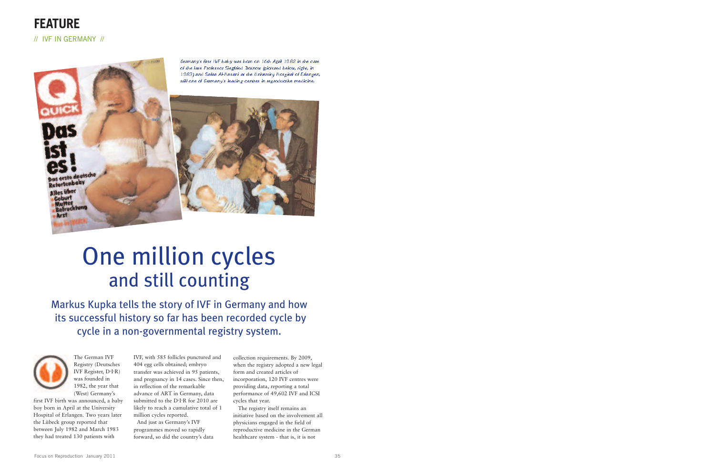The German IVF Registry (Deutsches IVF Register, D.I.R) was founded in 1982, the year that (West) Germany's

first IVF birth was announced, a baby boy born in April at the University Hospital of Erlangen. Two years later the Lübeck group reported that between July 1982 and March 1983 they had treated 130 patients with

IVF, with 585 follicles punctured and 404 egg cells obtained; embryo transfer was achieved in 95 patients, and pregnancy in 14 cases. Since then, in reflection of the remarkable advance of ART in Germany, data submitted to the D<sup>.</sup>I<sup>.</sup>R for 2010 are likely to reach a cumulative total of 1 million cycles reported. And just as Germany's IVF programmes moved so rapidly forward, so did the country's data

collection requirements. By 2009, when the registry adopted a new legal form and created articles of incorporation, 120 IVF centres were providing data, reporting a total performance of 49,602 IVF and ICSI cycles that year.

The registry itself remains an initiative based on the involvement all physicians engaged in the field of reproductive medicine in the German healthcare system - that is, it is not



Germany's first IVF baby was born on 16th April 1982 in the care of the late Professor Siegfried Trotnow (pictured below, right, in 1983) and Safaa Al-Hasani at the University Hospital of Erlangen, still one of Germany's leading centres in reproductive medicine.



## One million cycles and still counting

Markus Kupka tells the story of IVF in Germany and how its successful history so far has been recorded cycle by cycle in a non-governmental registry system.

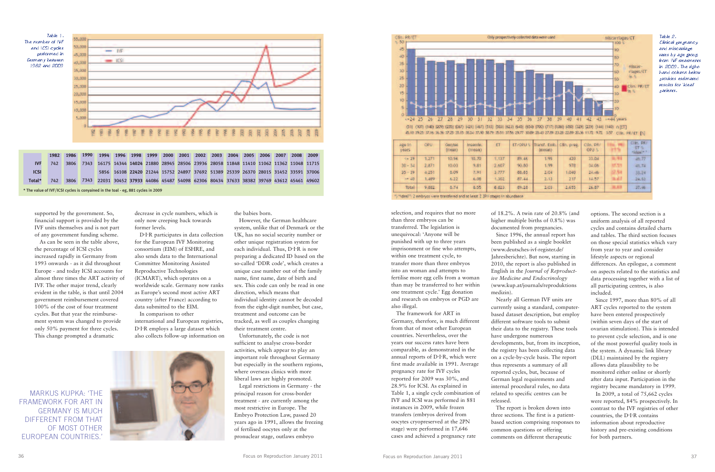supported by the government. So, financial support is provided by the IVF units themselves and is not part of any government funding scheme.

As can be seen in the table above, the percentage of ICSI cycles increased rapidly in Germany from 1993 onwards - as it did throughout Europe - and today ICSI accounts for almost three times the ART activity of IVF. The other major trend, clearly evident in the table, is that until 2004 government reimbursement covered 100% of the cost of four treatment cycles. But that year the reimbursement system was changed to provide only 50% payment for three cycles. This change prompted a dramatic

decrease in cycle numbers, which is only now creeping back towards former levels.

D. I. R participates in data collection for the European IVF Monitoring consortium (EIM) of ESHRE, and also sends data to the International Committee Monitoring Assisted Reproductive Technologies (ICMART), which operates on a worldwide scale. Germany now ranks as Europe's second most active ART country (after France) according to data submitted to the EIM.

In comparison to other international and European registries, D<sup>.</sup>I<sup>.</sup>R employs a large dataset which also collects follow-up information on

the babies born.

However, the German healthcare system, unlike that of Denmark or the UK, has no social security number or other unique registration system for each individual. Thus, D·I·R is now preparing a dedicated ID based on the so-called 'DDR code', which creates a unique case number out of the family name, first name, date of birth and sex. This code can only be read in one direction, which means that individual identity cannot be decoded from the eight-digit number, but case, treatment and outcome can be tracked, as well as couples changing their treatment centre.

Unfortunately, the code is not sufficient to analyse cross-border activities, which appear to play an important role throughout Germany but especially in the southern regions, where overseas clinics with more liberal laws are highly promoted.

Legal restrictions in Germany - the principal reason for cross-border treatment - are currently among the most restrictive in Europe. The Embryo Protection Law, passed 20 years ago in 1991, allows the freezing of fertilised oocytes only at the pronuclear stage, outlaws embryo



selection, and requires that no more than three embryos can be transferred. The legislation is unequivocal: 'Anyone will be punished with up to three years imprisonment or fine who attempts, within one treatment cycle, to transfer more than three embryos into an woman and attempts to fertilise more egg cells from a woman than may be transferred to her within one treatment cycle.' Egg donation and research on embryos or PGD are also illegal.



The framework for ART in Germany, therefore, is much different from that of most other European countries. Nevertheless, over the years our success rates have been comparable, as demonstrated in the annual reports of D·I·R, which were first made available in 1991. Average pregnancy rate for IVF cycles reported for 2009 was 30%, and 28.9% for ICSI. As explained in Table 1, a single cycle combination of IVF and ICSI was performed in 881 instances in 2009, while frozen transfers (embryos derived from oocytes cryopreserved at the 2PN stage) were performed in 17,646 cases and achieved a pregnancy rate

of 18.2%. A twin rate of 20.8% (and higher multiple births of 0.8%) was documented from pregnancies. Since 1996, the annual report has been published as a single booklet (www.deutsches-ivf-register.de/ Jahresberichte). But now, starting in 2010, the report is also published in English in the *Journal of Reproductive Medicine and Endocrinology* (www.kup.at/journals/reproduktions

medizin).

Nearly all German IVF units are currently using a standard, computerbased dataset description, but employ different software tools to submit their data to the registry. These tools have undergone numerous developments, but, from its inception, the registry has been collecting data on a cycle-by-cycle basis. The report thus represents a summary of all reported cycles, but, because of German legal requirements and internal procedural rules, no data related to specific centres can be released.

The report is broken down into three sections. The first is a patientbased section comprising responses to common questions or offering comments on different therapeutic

options. The second section is a uniform analysis of all reported cycles and contains detailed charts and tables. The third section focuses on those special statistics which vary from year to year and consider lifestyle aspects or regional differences. An epilogue, a comment on aspects related to the statistics and data processing together with a list of all participating centres, is also included.

Since 1997, more than 80% of all ART cycles reported to the system have been entered prospectively (within seven days of the start of ovarian stimulation). This is intended to prevent cycle selection, and is one of the most powerful quality tools in the system. A dynamic link library (DLL) maintained by the registry allows data plausibility to be monitored either online or shortly after data input. Participation in the registry became mandatory in 1999.

In 2009, a total of 75,662 cycles were reported, 84% prospectively. In contrast to the IVF registries of other countries, the D<sup>.</sup>I<sup>.</sup>R contains information about reproductive history and pre-existing conditions for both partners.



## Table 2. Clinical pregnancy and miscarriage rates by age group from IVF treatments in 2009. The righthand column below provides estimated results for 'ideal' patients.